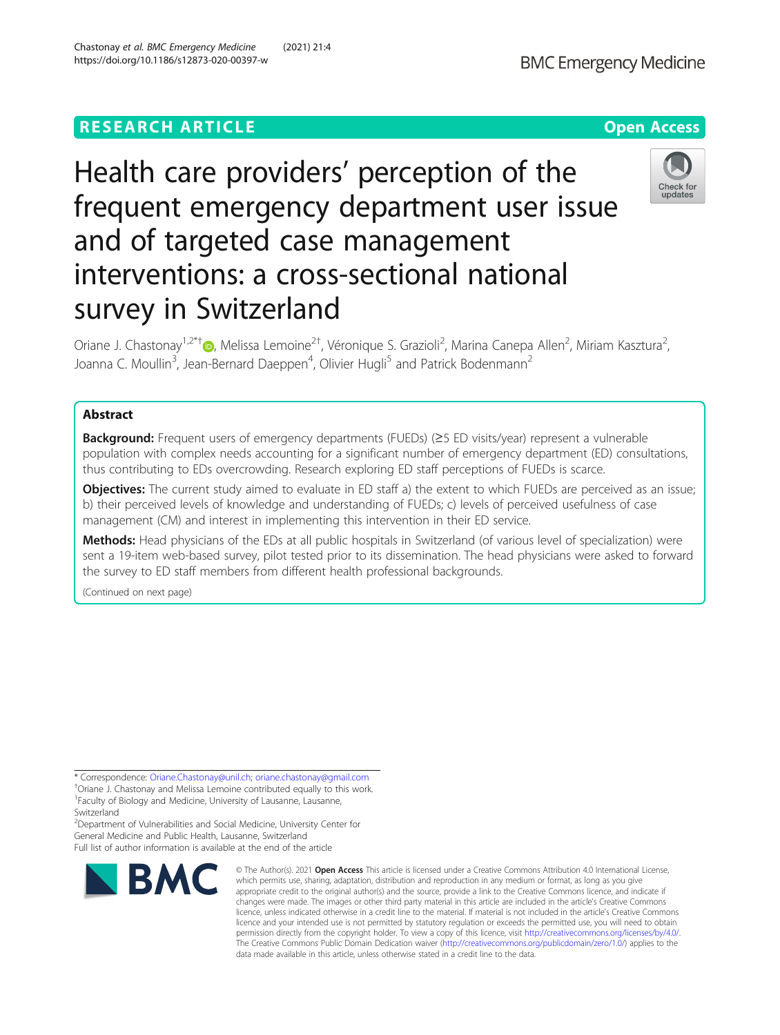# **RESEARCH ARTICLE Example 2014 12:30 The Contract of Contract ACCESS**

# Health care providers' perception of the frequent emergency department user issue and of targeted case management interventions: a cross-sectional national survey in Switzerland

Oriane J. Chastonay<sup>1[,](http://orcid.org/0000-0002-4735-4979)2\*†</sup>®, Melissa Lemoine<sup>2†</sup>, Véronique S. Grazioli<sup>2</sup>, Marina Canepa Allen<sup>2</sup>, Miriam Kasztura<sup>2</sup> , Joanna C. Moullin<sup>3</sup>, Jean-Bernard Daeppen<sup>4</sup>, Olivier Hugli<sup>5</sup> and Patrick Bodenmann<sup>2</sup>

# Abstract

Background: Frequent users of emergency departments (FUEDs) (25 ED visits/year) represent a vulnerable population with complex needs accounting for a significant number of emergency department (ED) consultations, thus contributing to EDs overcrowding. Research exploring ED staff perceptions of FUEDs is scarce.

**Objectives:** The current study aimed to evaluate in ED staff a) the extent to which FUEDs are perceived as an issue; b) their perceived levels of knowledge and understanding of FUEDs; c) levels of perceived usefulness of case management (CM) and interest in implementing this intervention in their ED service.

Methods: Head physicians of the EDs at all public hospitals in Switzerland (of various level of specialization) were sent a 19-item web-based survey, pilot tested prior to its dissemination. The head physicians were asked to forward the survey to ED staff members from different health professional backgrounds.

(Continued on next page)

\* Correspondence: [Oriane.Chastonay@unil.ch;](mailto:Oriane.Chastonay@unil.ch) [oriane.chastonay@gmail.com](mailto:oriane.chastonay@gmail.com) †

<sup>†</sup>Oriane J. Chastonay and Melissa Lemoine contributed equally to this work. 1 Faculty of Biology and Medicine, University of Lausanne, Lausanne, Switzerland

<sup>2</sup>Department of Vulnerabilities and Social Medicine, University Center for General Medicine and Public Health, Lausanne, Switzerland

Full list of author information is available at the end of the article



appropriate credit to the original author(s) and the source, provide a link to the Creative Commons licence, and indicate if changes were made. The images or other third party material in this article are included in the article's Creative Commons licence, unless indicated otherwise in a credit line to the material. If material is not included in the article's Creative Commons licence and your intended use is not permitted by statutory regulation or exceeds the permitted use, you will need to obtain permission directly from the copyright holder. To view a copy of this licence, visit [http://creativecommons.org/licenses/by/4.0/.](http://creativecommons.org/licenses/by/4.0/) The Creative Commons Public Domain Dedication waiver [\(http://creativecommons.org/publicdomain/zero/1.0/](http://creativecommons.org/publicdomain/zero/1.0/)) applies to the data made available in this article, unless otherwise stated in a credit line to the data.

© The Author(s), 2021 **Open Access** This article is licensed under a Creative Commons Attribution 4.0 International License, which permits use, sharing, adaptation, distribution and reproduction in any medium or format, as long as you give



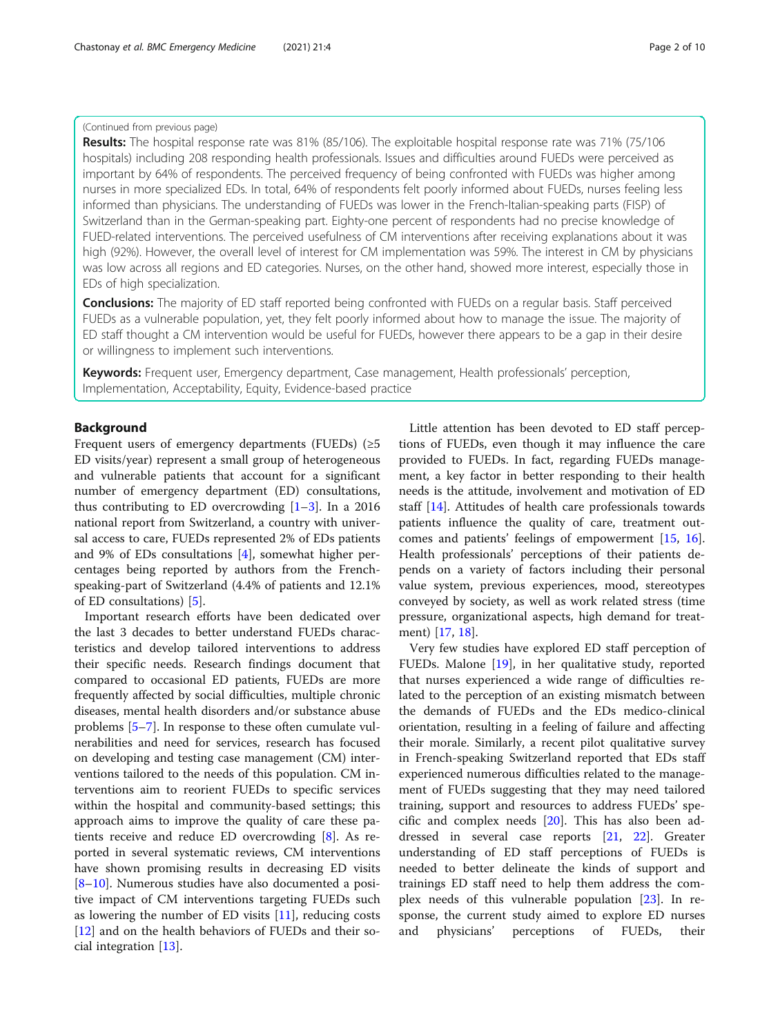# (Continued from previous page)

Results: The hospital response rate was 81% (85/106). The exploitable hospital response rate was 71% (75/106 hospitals) including 208 responding health professionals. Issues and difficulties around FUEDs were perceived as important by 64% of respondents. The perceived frequency of being confronted with FUEDs was higher among nurses in more specialized EDs. In total, 64% of respondents felt poorly informed about FUEDs, nurses feeling less informed than physicians. The understanding of FUEDs was lower in the French-Italian-speaking parts (FISP) of Switzerland than in the German-speaking part. Eighty-one percent of respondents had no precise knowledge of FUED-related interventions. The perceived usefulness of CM interventions after receiving explanations about it was high (92%). However, the overall level of interest for CM implementation was 59%. The interest in CM by physicians was low across all regions and ED categories. Nurses, on the other hand, showed more interest, especially those in EDs of high specialization.

**Conclusions:** The majority of ED staff reported being confronted with FUEDs on a regular basis. Staff perceived FUEDs as a vulnerable population, yet, they felt poorly informed about how to manage the issue. The majority of ED staff thought a CM intervention would be useful for FUEDs, however there appears to be a gap in their desire or willingness to implement such interventions.

Keywords: Frequent user, Emergency department, Case management, Health professionals' perception, Implementation, Acceptability, Equity, Evidence-based practice

# Background

Frequent users of emergency departments (FUEDs)  $(\geq 5)$ ED visits/year) represent a small group of heterogeneous and vulnerable patients that account for a significant number of emergency department (ED) consultations, thus contributing to ED overcrowding  $[1-3]$  $[1-3]$  $[1-3]$  $[1-3]$  $[1-3]$ . In a 2016 national report from Switzerland, a country with universal access to care, FUEDs represented 2% of EDs patients and 9% of EDs consultations [[4\]](#page-8-0), somewhat higher percentages being reported by authors from the Frenchspeaking-part of Switzerland (4.4% of patients and 12.1% of ED consultations) [[5\]](#page-8-0).

Important research efforts have been dedicated over the last 3 decades to better understand FUEDs characteristics and develop tailored interventions to address their specific needs. Research findings document that compared to occasional ED patients, FUEDs are more frequently affected by social difficulties, multiple chronic diseases, mental health disorders and/or substance abuse problems [[5](#page-8-0)–[7\]](#page-8-0). In response to these often cumulate vulnerabilities and need for services, research has focused on developing and testing case management (CM) interventions tailored to the needs of this population. CM interventions aim to reorient FUEDs to specific services within the hospital and community-based settings; this approach aims to improve the quality of care these patients receive and reduce ED overcrowding [[8\]](#page-8-0). As reported in several systematic reviews, CM interventions have shown promising results in decreasing ED visits [[8](#page-8-0)–[10\]](#page-8-0). Numerous studies have also documented a positive impact of CM interventions targeting FUEDs such as lowering the number of ED visits [[11\]](#page-8-0), reducing costs [[12\]](#page-8-0) and on the health behaviors of FUEDs and their social integration [\[13](#page-8-0)].

Little attention has been devoted to ED staff perceptions of FUEDs, even though it may influence the care provided to FUEDs. In fact, regarding FUEDs management, a key factor in better responding to their health needs is the attitude, involvement and motivation of ED staff [[14](#page-8-0)]. Attitudes of health care professionals towards patients influence the quality of care, treatment outcomes and patients' feelings of empowerment [\[15,](#page-8-0) [16](#page-9-0)]. Health professionals' perceptions of their patients depends on a variety of factors including their personal value system, previous experiences, mood, stereotypes conveyed by society, as well as work related stress (time pressure, organizational aspects, high demand for treatment) [\[17,](#page-9-0) [18\]](#page-9-0).

Very few studies have explored ED staff perception of FUEDs. Malone [[19](#page-9-0)], in her qualitative study, reported that nurses experienced a wide range of difficulties related to the perception of an existing mismatch between the demands of FUEDs and the EDs medico-clinical orientation, resulting in a feeling of failure and affecting their morale. Similarly, a recent pilot qualitative survey in French-speaking Switzerland reported that EDs staff experienced numerous difficulties related to the management of FUEDs suggesting that they may need tailored training, support and resources to address FUEDs' specific and complex needs [[20\]](#page-9-0). This has also been addressed in several case reports [\[21](#page-9-0), [22\]](#page-9-0). Greater understanding of ED staff perceptions of FUEDs is needed to better delineate the kinds of support and trainings ED staff need to help them address the complex needs of this vulnerable population [[23](#page-9-0)]. In response, the current study aimed to explore ED nurses and physicians' perceptions of FUEDs, their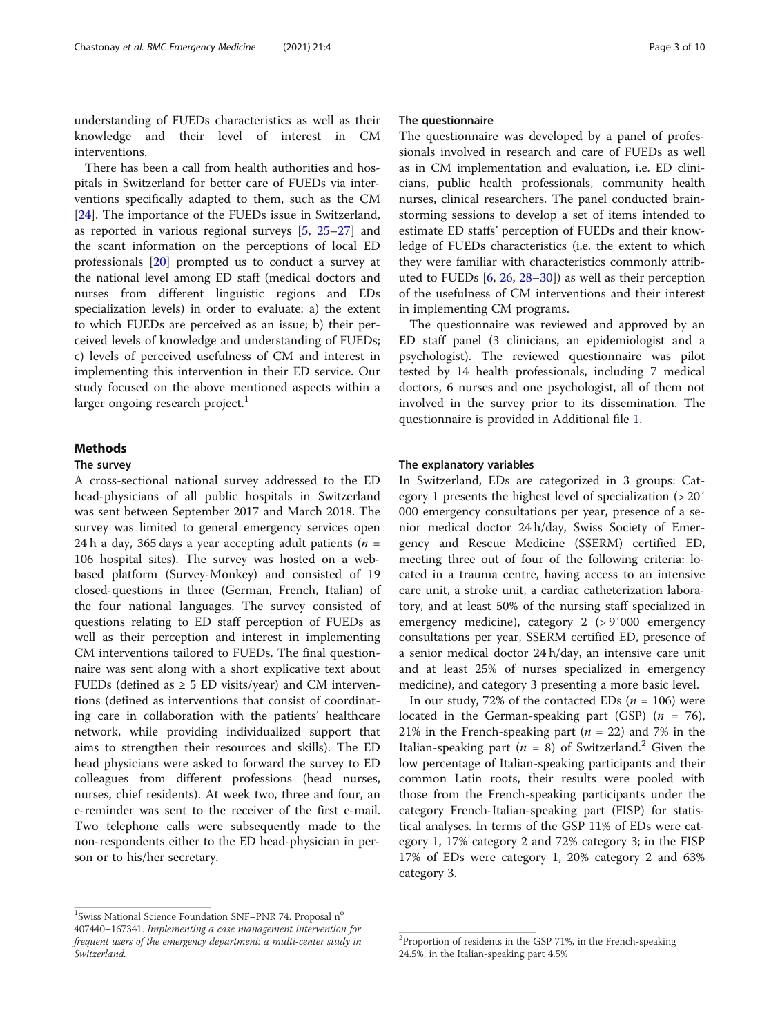understanding of FUEDs characteristics as well as their knowledge and their level of interest in CM interventions.

There has been a call from health authorities and hospitals in Switzerland for better care of FUEDs via interventions specifically adapted to them, such as the CM [[24\]](#page-9-0). The importance of the FUEDs issue in Switzerland, as reported in various regional surveys [[5](#page-8-0), [25](#page-9-0)–[27\]](#page-9-0) and the scant information on the perceptions of local ED professionals [\[20\]](#page-9-0) prompted us to conduct a survey at the national level among ED staff (medical doctors and nurses from different linguistic regions and EDs specialization levels) in order to evaluate: a) the extent to which FUEDs are perceived as an issue; b) their perceived levels of knowledge and understanding of FUEDs; c) levels of perceived usefulness of CM and interest in implementing this intervention in their ED service. Our study focused on the above mentioned aspects within a larger ongoing research project. $<sup>1</sup>$ </sup>

# **Methods**

# The survey

A cross-sectional national survey addressed to the ED head-physicians of all public hospitals in Switzerland was sent between September 2017 and March 2018. The survey was limited to general emergency services open 24 h a day, 365 days a year accepting adult patients ( $n =$ 106 hospital sites). The survey was hosted on a webbased platform (Survey-Monkey) and consisted of 19 closed-questions in three (German, French, Italian) of the four national languages. The survey consisted of questions relating to ED staff perception of FUEDs as well as their perception and interest in implementing CM interventions tailored to FUEDs. The final questionnaire was sent along with a short explicative text about FUEDs (defined as  $\geq$  5 ED visits/year) and CM interventions (defined as interventions that consist of coordinating care in collaboration with the patients' healthcare network, while providing individualized support that aims to strengthen their resources and skills). The ED head physicians were asked to forward the survey to ED colleagues from different professions (head nurses, nurses, chief residents). At week two, three and four, an e-reminder was sent to the receiver of the first e-mail. Two telephone calls were subsequently made to the non-respondents either to the ED head-physician in person or to his/her secretary.

#### The questionnaire

The questionnaire was developed by a panel of professionals involved in research and care of FUEDs as well as in CM implementation and evaluation, i.e. ED clinicians, public health professionals, community health nurses, clinical researchers. The panel conducted brainstorming sessions to develop a set of items intended to estimate ED staffs' perception of FUEDs and their knowledge of FUEDs characteristics (i.e. the extent to which they were familiar with characteristics commonly attributed to FUEDs [[6,](#page-8-0) [26,](#page-9-0) [28](#page-9-0)–[30](#page-9-0)]) as well as their perception of the usefulness of CM interventions and their interest in implementing CM programs.

The questionnaire was reviewed and approved by an ED staff panel (3 clinicians, an epidemiologist and a psychologist). The reviewed questionnaire was pilot tested by 14 health professionals, including 7 medical doctors, 6 nurses and one psychologist, all of them not involved in the survey prior to its dissemination. The questionnaire is provided in Additional file [1](#page-8-0).

#### The explanatory variables

In Switzerland, EDs are categorized in 3 groups: Category 1 presents the highest level of specialization (> 20′ 000 emergency consultations per year, presence of a senior medical doctor 24 h/day, Swiss Society of Emergency and Rescue Medicine (SSERM) certified ED, meeting three out of four of the following criteria: located in a trauma centre, having access to an intensive care unit, a stroke unit, a cardiac catheterization laboratory, and at least 50% of the nursing staff specialized in emergency medicine), category 2 (> 9′000 emergency consultations per year, SSERM certified ED, presence of a senior medical doctor 24 h/day, an intensive care unit and at least 25% of nurses specialized in emergency medicine), and category 3 presenting a more basic level.

In our study, 72% of the contacted EDs  $(n = 106)$  were located in the German-speaking part (GSP)  $(n = 76)$ , 21% in the French-speaking part ( $n = 22$ ) and 7% in the Italian-speaking part ( $n = 8$ ) of Switzerland.<sup>2</sup> Given the low percentage of Italian-speaking participants and their common Latin roots, their results were pooled with those from the French-speaking participants under the category French-Italian-speaking part (FISP) for statistical analyses. In terms of the GSP 11% of EDs were category 1, 17% category 2 and 72% category 3; in the FISP 17% of EDs were category 1, 20% category 2 and 63% category 3.

<sup>&</sup>lt;sup>1</sup>Swiss National Science Foundation SNF-PNR 74. Proposal n<sup>o</sup> 407440–167341. Implementing a case management intervention for frequent users of the emergency department: a multi-center study in Switzerland.

<sup>&</sup>lt;sup>2</sup>Proportion of residents in the GSP 71%, in the French-speaking 24.5%, in the Italian-speaking part 4.5%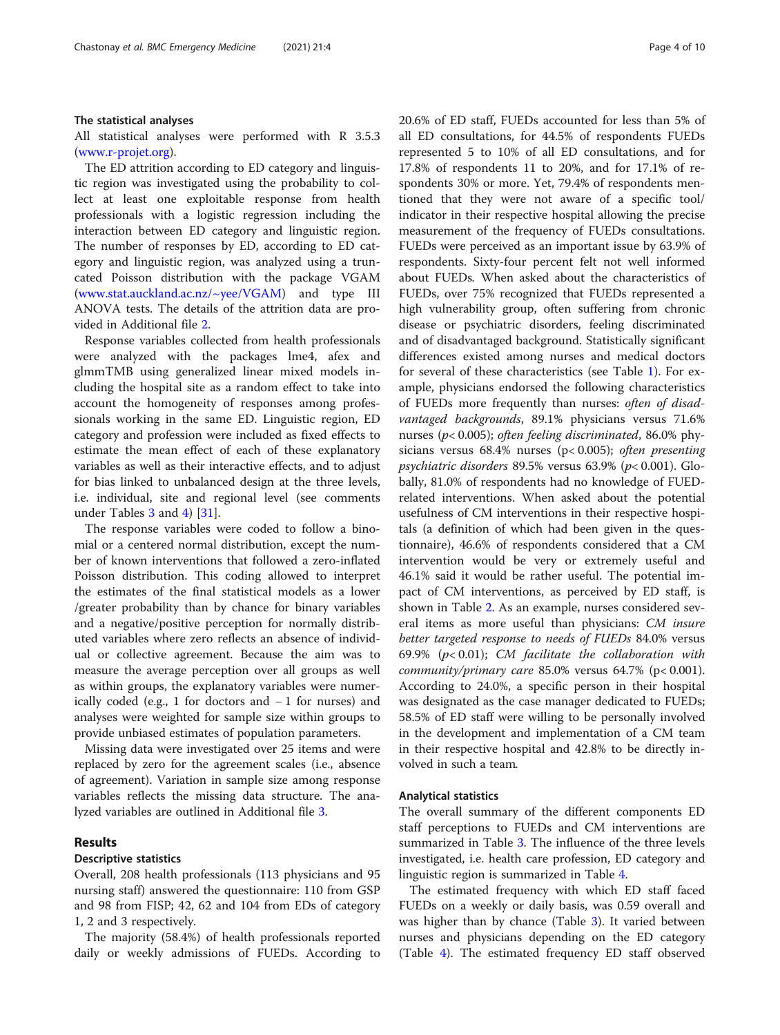#### The statistical analyses

All statistical analyses were performed with R 3.5.3 ([www.r-projet.org](http://www.r-projet.org)).

The ED attrition according to ED category and linguistic region was investigated using the probability to collect at least one exploitable response from health professionals with a logistic regression including the interaction between ED category and linguistic region. The number of responses by ED, according to ED category and linguistic region, was analyzed using a truncated Poisson distribution with the package VGAM ([www.stat.auckland.ac.nz/~yee/VGAM](http://www.stat.auckland.ac.nz/~yee/VGAM)) and type III ANOVA tests. The details of the attrition data are provided in Additional file [2.](#page-8-0)

Response variables collected from health professionals were analyzed with the packages lme4, afex and glmmTMB using generalized linear mixed models including the hospital site as a random effect to take into account the homogeneity of responses among professionals working in the same ED. Linguistic region, ED category and profession were included as fixed effects to estimate the mean effect of each of these explanatory variables as well as their interactive effects, and to adjust for bias linked to unbalanced design at the three levels, i.e. individual, site and regional level (see comments under Tables [3](#page-5-0) and [4](#page-6-0)) [\[31](#page-9-0)].

The response variables were coded to follow a binomial or a centered normal distribution, except the number of known interventions that followed a zero-inflated Poisson distribution. This coding allowed to interpret the estimates of the final statistical models as a lower /greater probability than by chance for binary variables and a negative/positive perception for normally distributed variables where zero reflects an absence of individual or collective agreement. Because the aim was to measure the average perception over all groups as well as within groups, the explanatory variables were numerically coded (e.g., 1 for doctors and − 1 for nurses) and analyses were weighted for sample size within groups to provide unbiased estimates of population parameters.

Missing data were investigated over 25 items and were replaced by zero for the agreement scales (i.e., absence of agreement). Variation in sample size among response variables reflects the missing data structure. The analyzed variables are outlined in Additional file [3](#page-8-0).

# Results

#### Descriptive statistics

Overall, 208 health professionals (113 physicians and 95 nursing staff) answered the questionnaire: 110 from GSP and 98 from FISP; 42, 62 and 104 from EDs of category 1, 2 and 3 respectively.

The majority (58.4%) of health professionals reported daily or weekly admissions of FUEDs. According to 20.6% of ED staff, FUEDs accounted for less than 5% of all ED consultations, for 44.5% of respondents FUEDs represented 5 to 10% of all ED consultations, and for 17.8% of respondents 11 to 20%, and for 17.1% of respondents 30% or more. Yet, 79.4% of respondents mentioned that they were not aware of a specific tool/ indicator in their respective hospital allowing the precise measurement of the frequency of FUEDs consultations. FUEDs were perceived as an important issue by 63.9% of respondents. Sixty-four percent felt not well informed about FUEDs. When asked about the characteristics of FUEDs, over 75% recognized that FUEDs represented a high vulnerability group, often suffering from chronic disease or psychiatric disorders, feeling discriminated and of disadvantaged background. Statistically significant differences existed among nurses and medical doctors for several of these characteristics (see Table [1\)](#page-4-0). For example, physicians endorsed the following characteristics of FUEDs more frequently than nurses: often of disadvantaged backgrounds, 89.1% physicians versus 71.6% nurses (p< 0.005); often feeling discriminated, 86.0% physicians versus 68.4% nurses (p< 0.005); often presenting psychiatric disorders 89.5% versus 63.9% ( $p$ < 0.001). Globally, 81.0% of respondents had no knowledge of FUEDrelated interventions. When asked about the potential usefulness of CM interventions in their respective hospitals (a definition of which had been given in the questionnaire), 46.6% of respondents considered that a CM intervention would be very or extremely useful and 46.1% said it would be rather useful. The potential impact of CM interventions, as perceived by ED staff, is shown in Table [2.](#page-4-0) As an example, nurses considered several items as more useful than physicians: CM insure better targeted response to needs of FUEDs 84.0% versus 69.9% ( $p$ < 0.01); CM facilitate the collaboration with community/primary care 85.0% versus 64.7% (p< 0.001). According to 24.0%, a specific person in their hospital was designated as the case manager dedicated to FUEDs; 58.5% of ED staff were willing to be personally involved in the development and implementation of a CM team in their respective hospital and 42.8% to be directly involved in such a team.

#### Analytical statistics

The overall summary of the different components ED staff perceptions to FUEDs and CM interventions are summarized in Table [3](#page-5-0). The influence of the three levels investigated, i.e. health care profession, ED category and linguistic region is summarized in Table [4](#page-6-0).

The estimated frequency with which ED staff faced FUEDs on a weekly or daily basis, was 0.59 overall and was higher than by chance (Table [3\)](#page-5-0). It varied between nurses and physicians depending on the ED category (Table [4\)](#page-6-0). The estimated frequency ED staff observed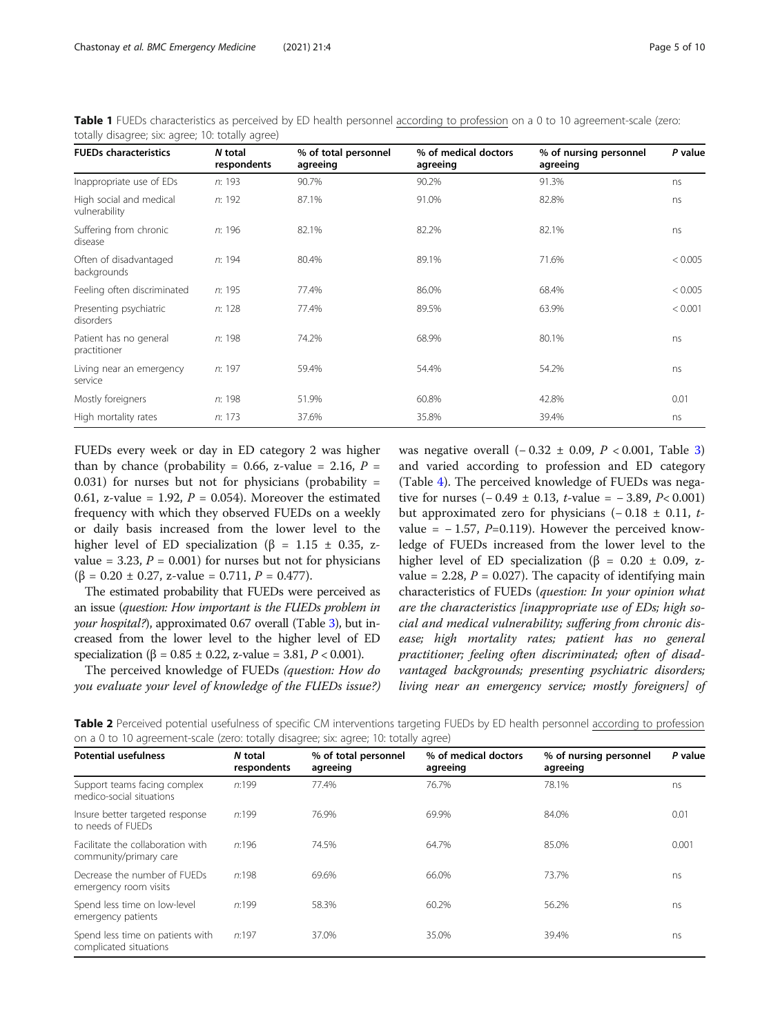<span id="page-4-0"></span>

| Table 1 FUEDs characteristics as perceived by ED health personnel according to profession on a 0 to 10 agreement-scale (zero: |  |  |
|-------------------------------------------------------------------------------------------------------------------------------|--|--|
| totally disagree; six: agree; 10: totally agree)                                                                              |  |  |

| <b>FUEDs characteristics</b>             | N total<br>respondents | % of total personnel<br>agreeing | % of medical doctors<br>agreeing | % of nursing personnel<br>agreeing | P value |  |
|------------------------------------------|------------------------|----------------------------------|----------------------------------|------------------------------------|---------|--|
| Inappropriate use of EDs                 | n: 193                 | 90.7%                            | 90.2%                            | 91.3%                              | ns      |  |
| High social and medical<br>vulnerability | n: 192                 | 87.1%                            | 91.0%                            | 82.8%                              | ns      |  |
| Suffering from chronic<br>disease        | n: 196                 | 82.1%                            | 82.2%                            | 82.1%                              | ns      |  |
| Often of disadvantaged<br>backgrounds    | n: 194                 | 80.4%                            | 89.1%                            | 71.6%                              | < 0.005 |  |
| Feeling often discriminated              | n: 195                 | 77.4%                            | 86.0%                            | 68.4%                              | < 0.005 |  |
| Presenting psychiatric<br>disorders      | n: 128                 | 77.4%                            | 89.5%                            | 63.9%                              | < 0.001 |  |
| Patient has no general<br>practitioner   | n: 198                 | 74.2%                            | 68.9%                            | 80.1%                              | ns      |  |
| Living near an emergency<br>service      | n: 197                 | 59.4%                            | 54.4%                            | 54.2%                              | ns      |  |
| Mostly foreigners                        | n: 198                 | 51.9%                            | 60.8%                            | 42.8%                              | 0.01    |  |
| High mortality rates                     | n: 173                 | 37.6%                            | 35.8%                            | 39.4%                              | ns      |  |

FUEDs every week or day in ED category 2 was higher than by chance (probability = 0.66, z-value = 2.16,  $P =$ 0.031) for nurses but not for physicians (probability  $=$ 0.61, z-value = 1.92,  $P = 0.054$ ). Moreover the estimated frequency with which they observed FUEDs on a weekly or daily basis increased from the lower level to the higher level of ED specialization ( $\beta$  = 1.15  $\pm$  0.35, zvalue = 3.23,  $P = 0.001$ ) for nurses but not for physicians  $(\beta = 0.20 \pm 0.27, z-value = 0.711, P = 0.477).$ 

The estimated probability that FUEDs were perceived as an issue (question: How important is the FUEDs problem in your hospital?), approximated 0.67 overall (Table [3\)](#page-5-0), but increased from the lower level to the higher level of ED specialization ( $\beta = 0.85 \pm 0.22$ , z-value = 3.81,  $P < 0.001$ ).

The perceived knowledge of FUEDs (question: How do you evaluate your level of knowledge of the FUEDs issue?) was negative overall  $(-0.32 \pm 0.09, P < 0.001,$  $(-0.32 \pm 0.09, P < 0.001,$  $(-0.32 \pm 0.09, P < 0.001,$  Table 3) and varied according to profession and ED category (Table [4\)](#page-6-0). The perceived knowledge of FUEDs was negative for nurses  $(-0.49 \pm 0.13, t$ -value =  $-3.89, P < 0.001$ ) but approximated zero for physicians  $(-0.18 \pm 0.11, t$ value =  $-1.57$ ,  $P=0.119$ ). However the perceived knowledge of FUEDs increased from the lower level to the higher level of ED specialization (β = 0.20 ± 0.09, zvalue = 2.28,  $P = 0.027$ ). The capacity of identifying main characteristics of FUEDs (question: In your opinion what are the characteristics [inappropriate use of EDs; high social and medical vulnerability; suffering from chronic disease; high mortality rates; patient has no general practitioner; feeling often discriminated; often of disadvantaged backgrounds; presenting psychiatric disorders; living near an emergency service; mostly foreigners] of

Table 2 Perceived potential usefulness of specific CM interventions targeting FUEDs by ED health personnel according to profession on a 0 to 10 agreement-scale (zero: totally disagree; six: agree; 10: totally agree)

| N total<br>respondents | % of total personnel<br>agreeing | % of medical doctors<br>agreeing | % of nursing personnel<br>agreeing | P value |
|------------------------|----------------------------------|----------------------------------|------------------------------------|---------|
| n:199                  | 77.4%                            | 76.7%                            | 78.1%                              | ns      |
| n:199                  | 76.9%                            | 69.9%                            | 84.0%                              | 0.01    |
| n:196                  | 74.5%                            | 64.7%                            | 85.0%                              | 0.001   |
| n:198                  | 69.6%                            | 66.0%                            | 73.7%                              | ns      |
| n:199                  | 58.3%                            | 60.2%                            | 56.2%                              | ns      |
| n:197                  | 37.0%                            | 35.0%                            | 39.4%                              | ns      |
|                        |                                  |                                  |                                    |         |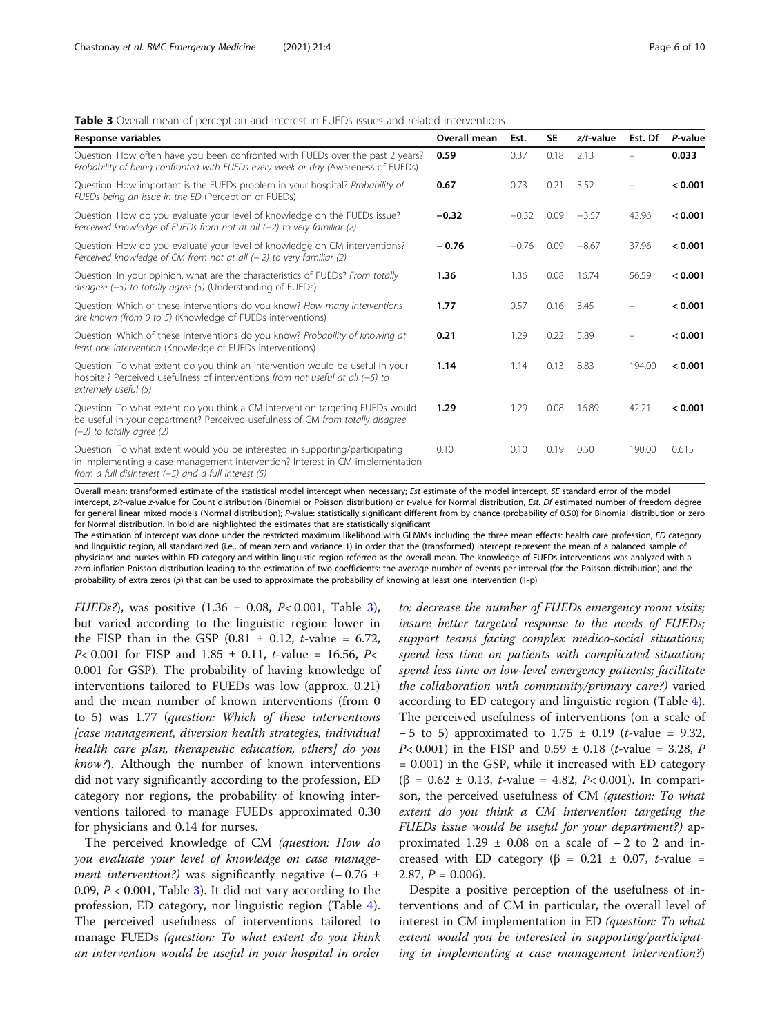# <span id="page-5-0"></span>**Table 3** Overall mean of perception and interest in FUEDs issues and related interventions

| <b>Response variables</b>                                                                                                                                                                                                 | Overall mean | Est.    | <b>SE</b> | $z/t$ -value | Est. Df | P-value |
|---------------------------------------------------------------------------------------------------------------------------------------------------------------------------------------------------------------------------|--------------|---------|-----------|--------------|---------|---------|
| Question: How often have you been confronted with FUEDs over the past 2 years?<br>Probability of being confronted with FUEDs every week or day (Awareness of FUEDs)                                                       | 0.59         | 0.37    | 0.18      | 2.13         |         | 0.033   |
| Question: How important is the FUEDs problem in your hospital? Probability of<br>FUEDs being an issue in the ED (Perception of FUEDs)                                                                                     | 0.67         | 0.73    | 0.21      | 3.52         |         | < 0.001 |
| Question: How do you evaluate your level of knowledge on the FUEDs issue?<br>Perceived knowledge of FUEDs from not at all $(-2)$ to very familiar (2)                                                                     | $-0.32$      | $-0.32$ | 0.09      | $-3.57$      | 43.96   | < 0.001 |
| Question: How do you evaluate your level of knowledge on CM interventions?<br>Perceived knowledge of CM from not at all $(-2)$ to very familiar (2)                                                                       | $-0.76$      | $-0.76$ | 0.09      | $-8.67$      | 37.96   | < 0.001 |
| Question: In your opinion, what are the characteristics of FUEDs? From totally<br>$disagree (-5)$ to totally agree (5) (Understanding of FUEDs)                                                                           | 1.36         | 1.36    | 0.08      | 16.74        | 56.59   | < 0.001 |
| Question: Which of these interventions do you know? How many interventions<br>are known (from 0 to 5) (Knowledge of FUEDs interventions)                                                                                  | 1.77         | 0.57    | 0.16      | 3.45         |         | < 0.001 |
| Question: Which of these interventions do you know? Probability of knowing at<br>least one intervention (Knowledge of FUEDs interventions)                                                                                | 0.21         | 1.29    | 0.22      | 5.89         |         | < 0.001 |
| Question: To what extent do you think an intervention would be useful in your<br>hospital? Perceived usefulness of interventions from not useful at all $(-5)$ to<br>extremely useful (5)                                 | 1.14         | 1.14    | 0.13      | 8.83         | 194.00  | < 0.001 |
| Question: To what extent do you think a CM intervention targeting FUEDs would<br>be useful in your department? Perceived usefulness of CM from totally disagree<br>$(-2)$ to totally agree (2)                            | 1.29         | 1.29    | 0.08      | 16.89        | 42.21   | < 0.001 |
| Question: To what extent would you be interested in supporting/participating<br>in implementing a case management intervention? Interest in CM implementation<br>from a full disinterest $(-5)$ and a full interest $(5)$ | 0.10         | 0.10    | 0.19      | 0.50         | 190.00  | 0.615   |

Overall mean: transformed estimate of the statistical model intercept when necessary; Est estimate of the model intercept, SE standard error of the model intercept, z/t-value z-value for Count distribution (Binomial or Poisson distribution) or t-value for Normal distribution, Est. Df estimated number of freedom degree for general linear mixed models (Normal distribution); P-value: statistically significant different from by chance (probability of 0.50) for Binomial distribution or zero for Normal distribution. In bold are highlighted the estimates that are statistically significant

The estimation of intercept was done under the restricted maximum likelihood with GLMMs including the three mean effects: health care profession, ED category and linguistic region, all standardized (i.e., of mean zero and variance 1) in order that the (transformed) intercept represent the mean of a balanced sample of physicians and nurses within ED category and within linguistic region referred as the overall mean. The knowledge of FUEDs interventions was analyzed with a zero-inflation Poisson distribution leading to the estimation of two coefficients: the average number of events per interval (for the Poisson distribution) and the probability of extra zeros (p) that can be used to approximate the probability of knowing at least one intervention (1-p)

*FUEDs?*), was positive  $(1.36 \pm 0.08, P < 0.001,$  Table 3), but varied according to the linguistic region: lower in the FISP than in the GSP  $(0.81 \pm 0.12, t$ -value = 6.72, *P*<0.001 for FISP and 1.85  $\pm$  0.11, *t*-value = 16.56, *P*< 0.001 for GSP). The probability of having knowledge of interventions tailored to FUEDs was low (approx. 0.21) and the mean number of known interventions (from 0 to 5) was 1.77 (question: Which of these interventions [case management, diversion health strategies, individual health care plan, therapeutic education, others] do you know?). Although the number of known interventions did not vary significantly according to the profession, ED category nor regions, the probability of knowing interventions tailored to manage FUEDs approximated 0.30 for physicians and 0.14 for nurses.

The perceived knowledge of CM (question: How do you evaluate your level of knowledge on case manage*ment intervention?*) was significantly negative  $(-0.76 \pm 1)$ 0.09,  $P < 0.001$ , Table 3). It did not vary according to the profession, ED category, nor linguistic region (Table [4](#page-6-0)). The perceived usefulness of interventions tailored to manage FUEDs (question: To what extent do you think an intervention would be useful in your hospital in order to: decrease the number of FUEDs emergency room visits; insure better targeted response to the needs of FUEDs; support teams facing complex medico-social situations; spend less time on patients with complicated situation; spend less time on low-level emergency patients; facilitate the collaboration with community/primary care?) varied according to ED category and linguistic region (Table [4](#page-6-0)). The perceived usefulness of interventions (on a scale of  $-5$  to 5) approximated to 1.75  $\pm$  0.19 (*t*-value = 9.32, *P*<0.001) in the FISP and 0.59  $\pm$  0.18 (*t*-value = 3.28, *P* = 0.001) in the GSP, while it increased with ED category (β = 0.62 ± 0.13, t-value = 4.82, P< 0.001). In comparison, the perceived usefulness of CM (question: To what extent do you think a CM intervention targeting the FUEDs issue would be useful for your department?) approximated 1.29  $\pm$  0.08 on a scale of  $-2$  to 2 and increased with ED category ( $\beta$  = 0.21  $\pm$  0.07, *t*-value = 2.87,  $P = 0.006$ .

Despite a positive perception of the usefulness of interventions and of CM in particular, the overall level of interest in CM implementation in ED (question: To what extent would you be interested in supporting/participating in implementing a case management intervention?)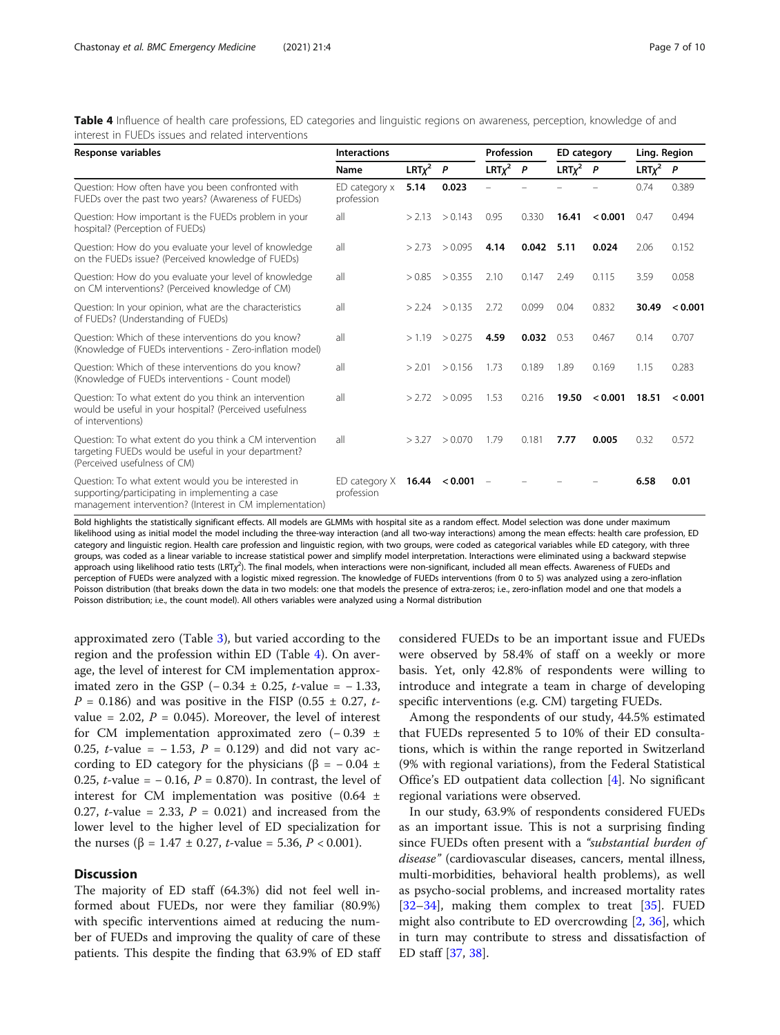<span id="page-6-0"></span>

| Table 4 Influence of health care professions, ED categories and linguistic regions on awareness, perception, knowledge of and |  |  |  |  |
|-------------------------------------------------------------------------------------------------------------------------------|--|--|--|--|
| interest in FUEDs issues and related interventions                                                                            |  |  |  |  |

| Response variables                                                                                                                                                 | <b>Interactions</b>         |             | Profession         |                 | <b>ED</b> category |                 | Ling. Region |             |              |
|--------------------------------------------------------------------------------------------------------------------------------------------------------------------|-----------------------------|-------------|--------------------|-----------------|--------------------|-----------------|--------------|-------------|--------------|
|                                                                                                                                                                    | Name                        | $LRT\chi^2$ | $\overline{P}$     | $LRT\chi^2$ $P$ |                    | $LRT\chi^2$ $P$ |              | $LRT\chi^2$ | $\mathsf{P}$ |
| Question: How often have you been confronted with<br>FUEDs over the past two years? (Awareness of FUEDs)                                                           | ED category x<br>profession | 5.14        | 0.023              |                 |                    |                 |              | 0.74        | 0.389        |
| Question: How important is the FUEDs problem in your<br>hospital? (Perception of FUEDs)                                                                            | all                         | > 2.13      | > 0.143            | 0.95            | 0.330              | 16.41           | < 0.001      | 0.47        | 0.494        |
| Question: How do you evaluate your level of knowledge<br>on the FUEDs issue? (Perceived knowledge of FUEDs)                                                        | all                         | >2.73       | > 0.095            | 4.14            | 0.042              | 5.11            | 0.024        | 2.06        | 0.152        |
| Question: How do you evaluate your level of knowledge<br>on CM interventions? (Perceived knowledge of CM)                                                          | all                         | > 0.85      | > 0.355            | 2.10            | 0.147              | 2.49            | 0.115        | 3.59        | 0.058        |
| Question: In your opinion, what are the characteristics<br>of FUEDs? (Understanding of FUEDs)                                                                      | all                         |             | $>$ 2.24 $>$ 0.135 | 2.72            | 0.099              | 0.04            | 0.832        | 30.49       | < 0.001      |
| Question: Which of these interventions do you know?<br>(Knowledge of FUEDs interventions - Zero-inflation model)                                                   | all                         | >1.19       | > 0.275            | 4.59            | 0.032              | 0.53            | 0.467        | 0.14        | 0.707        |
| Question: Which of these interventions do you know?<br>(Knowledge of FUEDs interventions - Count model)                                                            | all                         | > 2.01      | > 0.156            | 1.73            | 0.189              | 1.89            | 0.169        | 1.15        | 0.283        |
| Question: To what extent do you think an intervention<br>would be useful in your hospital? (Perceived usefulness<br>of interventions)                              | all                         | >2.72       | > 0.095            | 1.53            | 0.216              | 19.50           | < 0.001      | 18.51       | < 0.001      |
| Question: To what extent do you think a CM intervention<br>targeting FUEDs would be useful in your department?<br>(Perceived usefulness of CM)                     | all                         | > 3.27      | > 0.070            | 1.79            | 0.181              | 7.77            | 0.005        | 0.32        | 0.572        |
| Question: To what extent would you be interested in<br>supporting/participating in implementing a case<br>management intervention? (Interest in CM implementation) | ED category X<br>profession |             | 16.44 < 0.001      | $\frac{1}{2}$   |                    |                 |              | 6.58        | 0.01         |

Bold highlights the statistically significant effects. All models are GLMMs with hospital site as a random effect. Model selection was done under maximum likelihood using as initial model the model including the three-way interaction (and all two-way interactions) among the mean effects: health care profession, ED category and linguistic region. Health care profession and linguistic region, with two groups, were coded as categorical variables while ED category, with three groups, was coded as a linear variable to increase statistical power and simplify model interpretation. Interactions were eliminated using a backward stepwise approach using likelihood ratio tests (LRT<sub>X</sub><sup>2</sup>). The final models, when interactions were non-significant, included all mean effects. Awareness of FUEDs and perception of FUEDs were analyzed with a logistic mixed regression. The knowledge of FUEDs interventions (from 0 to 5) was analyzed using a zero-inflation Poisson distribution (that breaks down the data in two models: one that models the presence of extra-zeros; i.e., zero-inflation model and one that models a Poisson distribution; i.e., the count model). All others variables were analyzed using a Normal distribution

approximated zero (Table [3\)](#page-5-0), but varied according to the region and the profession within ED (Table 4). On average, the level of interest for CM implementation approximated zero in the GSP (− 0.34 ± 0.25, *t*-value =  $-1.33$ ,  $P = 0.186$ ) and was positive in the FISP (0.55  $\pm$  0.27, tvalue = 2.02,  $P = 0.045$ ). Moreover, the level of interest for CM implementation approximated zero (− 0.39 ± 0.25, *t*-value =  $-1.53$ ,  $P = 0.129$ ) and did not vary according to ED category for the physicians ( $\beta$  = -0.04 ± 0.25, *t*-value =  $-$  0.16, *P* = 0.870). In contrast, the level of interest for CM implementation was positive  $(0.64 \pm 1)$ 0.27, *t*-value = 2.33,  $P = 0.021$ ) and increased from the lower level to the higher level of ED specialization for the nurses ( $\beta = 1.47 \pm 0.27$ , *t*-value = 5.36, *P* < 0.001).

#### **Discussion**

The majority of ED staff (64.3%) did not feel well informed about FUEDs, nor were they familiar (80.9%) with specific interventions aimed at reducing the number of FUEDs and improving the quality of care of these patients. This despite the finding that 63.9% of ED staff considered FUEDs to be an important issue and FUEDs were observed by 58.4% of staff on a weekly or more basis. Yet, only 42.8% of respondents were willing to introduce and integrate a team in charge of developing specific interventions (e.g. CM) targeting FUEDs.

Among the respondents of our study, 44.5% estimated that FUEDs represented 5 to 10% of their ED consultations, which is within the range reported in Switzerland (9% with regional variations), from the Federal Statistical Office's ED outpatient data collection [\[4\]](#page-8-0). No significant regional variations were observed.

In our study, 63.9% of respondents considered FUEDs as an important issue. This is not a surprising finding since FUEDs often present with a "substantial burden of disease" (cardiovascular diseases, cancers, mental illness, multi-morbidities, behavioral health problems), as well as psycho-social problems, and increased mortality rates [[32](#page-9-0)–[34](#page-9-0)], making them complex to treat [\[35](#page-9-0)]. FUED might also contribute to ED overcrowding [[2,](#page-8-0) [36\]](#page-9-0), which in turn may contribute to stress and dissatisfaction of ED staff [[37](#page-9-0), [38](#page-9-0)].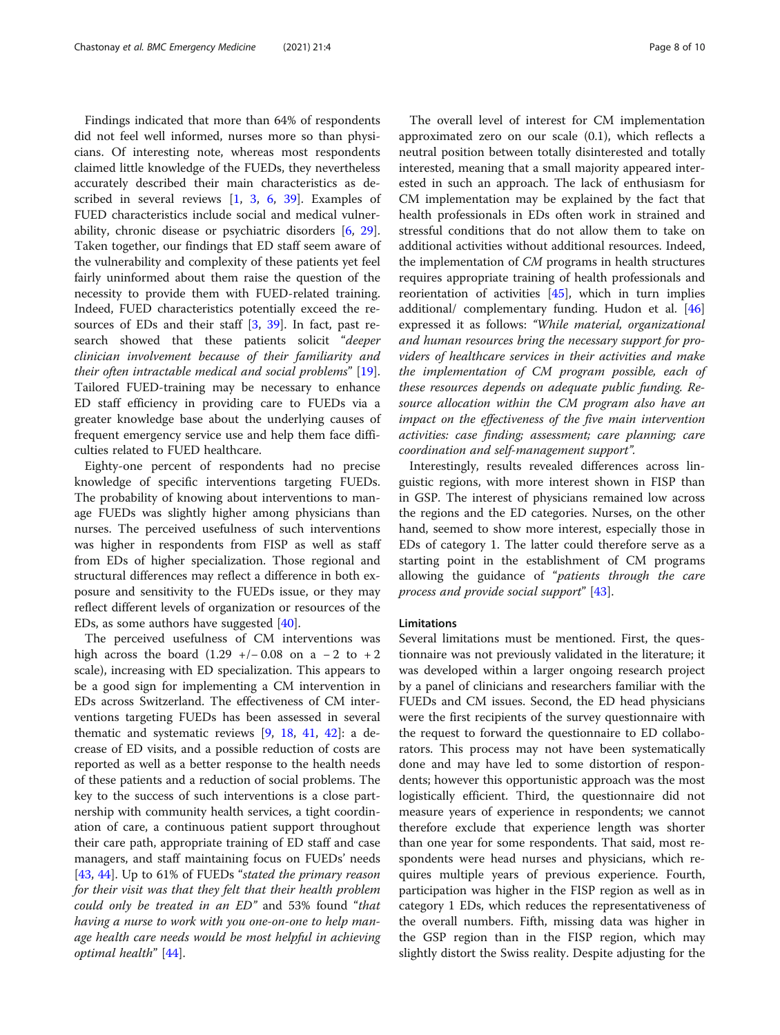Findings indicated that more than 64% of respondents did not feel well informed, nurses more so than physicians. Of interesting note, whereas most respondents claimed little knowledge of the FUEDs, they nevertheless accurately described their main characteristics as described in several reviews [\[1](#page-8-0), [3](#page-8-0), [6,](#page-8-0) [39\]](#page-9-0). Examples of FUED characteristics include social and medical vulnerability, chronic disease or psychiatric disorders [[6,](#page-8-0) [29](#page-9-0)]. Taken together, our findings that ED staff seem aware of the vulnerability and complexity of these patients yet feel fairly uninformed about them raise the question of the necessity to provide them with FUED-related training. Indeed, FUED characteristics potentially exceed the resources of EDs and their staff [\[3](#page-8-0), [39\]](#page-9-0). In fact, past research showed that these patients solicit "deeper clinician involvement because of their familiarity and their often intractable medical and social problems" [\[19](#page-9-0)]. Tailored FUED-training may be necessary to enhance ED staff efficiency in providing care to FUEDs via a greater knowledge base about the underlying causes of frequent emergency service use and help them face difficulties related to FUED healthcare.

Eighty-one percent of respondents had no precise knowledge of specific interventions targeting FUEDs. The probability of knowing about interventions to manage FUEDs was slightly higher among physicians than nurses. The perceived usefulness of such interventions was higher in respondents from FISP as well as staff from EDs of higher specialization. Those regional and structural differences may reflect a difference in both exposure and sensitivity to the FUEDs issue, or they may reflect different levels of organization or resources of the EDs, as some authors have suggested [[40](#page-9-0)].

The perceived usefulness of CM interventions was high across the board  $(1.29 +/- 0.08)$  on a - 2 to + 2 scale), increasing with ED specialization. This appears to be a good sign for implementing a CM intervention in EDs across Switzerland. The effectiveness of CM interventions targeting FUEDs has been assessed in several thematic and systematic reviews [\[9](#page-8-0), [18](#page-9-0), [41](#page-9-0), [42\]](#page-9-0): a decrease of ED visits, and a possible reduction of costs are reported as well as a better response to the health needs of these patients and a reduction of social problems. The key to the success of such interventions is a close partnership with community health services, a tight coordination of care, a continuous patient support throughout their care path, appropriate training of ED staff and case managers, and staff maintaining focus on FUEDs' needs [[43,](#page-9-0) [44\]](#page-9-0). Up to 61% of FUEDs "stated the primary reason for their visit was that they felt that their health problem could only be treated in an ED" and 53% found "that having a nurse to work with you one-on-one to help manage health care needs would be most helpful in achieving optimal health" [[44](#page-9-0)].

The overall level of interest for CM implementation approximated zero on our scale (0.1), which reflects a neutral position between totally disinterested and totally interested, meaning that a small majority appeared interested in such an approach. The lack of enthusiasm for CM implementation may be explained by the fact that health professionals in EDs often work in strained and stressful conditions that do not allow them to take on additional activities without additional resources. Indeed, the implementation of CM programs in health structures requires appropriate training of health professionals and reorientation of activities  $[45]$  $[45]$ , which in turn implies additional/ complementary funding. Hudon et al. [[46](#page-9-0)] expressed it as follows: "While material, organizational and human resources bring the necessary support for providers of healthcare services in their activities and make the implementation of CM program possible, each of these resources depends on adequate public funding. Resource allocation within the CM program also have an impact on the effectiveness of the five main intervention activities: case finding; assessment; care planning; care coordination and self-management support".

Interestingly, results revealed differences across linguistic regions, with more interest shown in FISP than in GSP. The interest of physicians remained low across the regions and the ED categories. Nurses, on the other hand, seemed to show more interest, especially those in EDs of category 1. The latter could therefore serve as a starting point in the establishment of CM programs allowing the guidance of "patients through the care process and provide social support" [[43\]](#page-9-0).

### Limitations

Several limitations must be mentioned. First, the questionnaire was not previously validated in the literature; it was developed within a larger ongoing research project by a panel of clinicians and researchers familiar with the FUEDs and CM issues. Second, the ED head physicians were the first recipients of the survey questionnaire with the request to forward the questionnaire to ED collaborators. This process may not have been systematically done and may have led to some distortion of respondents; however this opportunistic approach was the most logistically efficient. Third, the questionnaire did not measure years of experience in respondents; we cannot therefore exclude that experience length was shorter than one year for some respondents. That said, most respondents were head nurses and physicians, which requires multiple years of previous experience. Fourth, participation was higher in the FISP region as well as in category 1 EDs, which reduces the representativeness of the overall numbers. Fifth, missing data was higher in the GSP region than in the FISP region, which may slightly distort the Swiss reality. Despite adjusting for the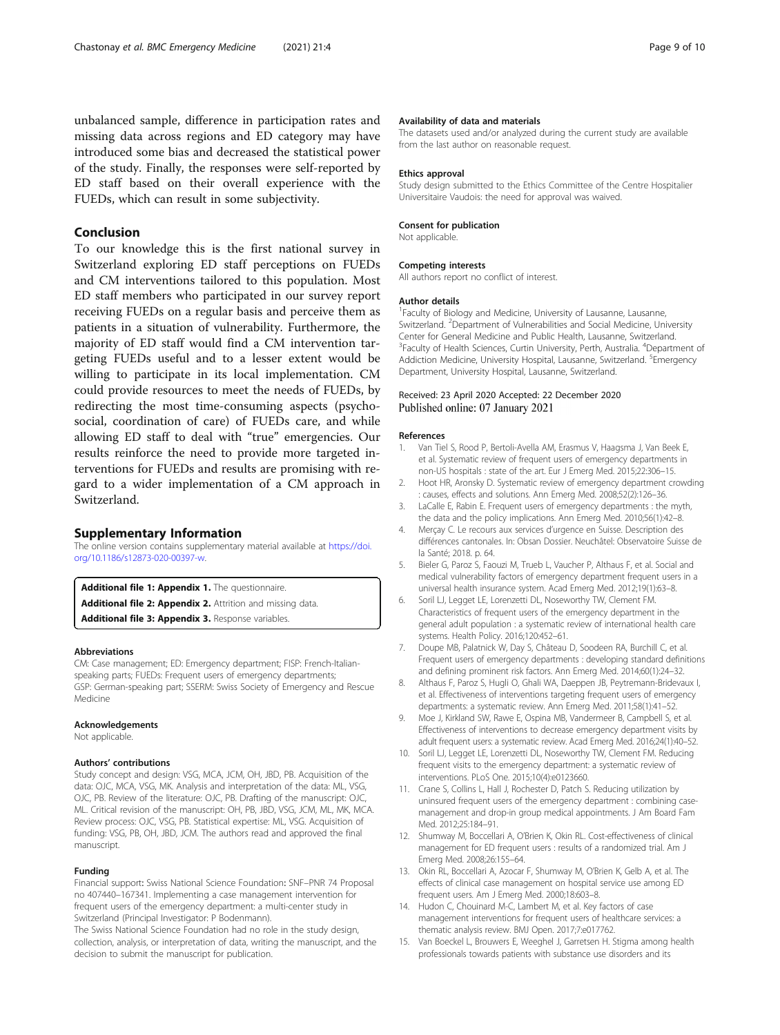<span id="page-8-0"></span>unbalanced sample, difference in participation rates and missing data across regions and ED category may have introduced some bias and decreased the statistical power of the study. Finally, the responses were self-reported by ED staff based on their overall experience with the FUEDs, which can result in some subjectivity.

# Conclusion

To our knowledge this is the first national survey in Switzerland exploring ED staff perceptions on FUEDs and CM interventions tailored to this population. Most ED staff members who participated in our survey report receiving FUEDs on a regular basis and perceive them as patients in a situation of vulnerability. Furthermore, the majority of ED staff would find a CM intervention targeting FUEDs useful and to a lesser extent would be willing to participate in its local implementation. CM could provide resources to meet the needs of FUEDs, by redirecting the most time-consuming aspects (psychosocial, coordination of care) of FUEDs care, and while allowing ED staff to deal with "true" emergencies. Our results reinforce the need to provide more targeted interventions for FUEDs and results are promising with regard to a wider implementation of a CM approach in Switzerland.

#### Supplementary Information

The online version contains supplementary material available at [https://doi.](https://doi.org/10.1186/s12873-020-00397-w) [org/10.1186/s12873-020-00397-w](https://doi.org/10.1186/s12873-020-00397-w).

Additional file 1: Appendix 1. The questionnaire. Additional file 2: Appendix 2. Attrition and missing data. Additional file 3: Appendix 3. Response variables.

#### Abbreviations

CM: Case management; ED: Emergency department; FISP: French-Italianspeaking parts; FUEDs: Frequent users of emergency departments; GSP: German-speaking part; SSERM: Swiss Society of Emergency and Rescue Medicine

#### Acknowledgements

Not applicable.

#### Authors' contributions

Study concept and design: VSG, MCA, JCM, OH, JBD, PB. Acquisition of the data: OJC, MCA, VSG, MK. Analysis and interpretation of the data: ML, VSG, OJC, PB. Review of the literature: OJC, PB. Drafting of the manuscript: OJC, ML. Critical revision of the manuscript: OH, PB, JBD, VSG, JCM, ML, MK, MCA. Review process: OJC, VSG, PB. Statistical expertise: ML, VSG. Acquisition of funding: VSG, PB, OH, JBD, JCM. The authors read and approved the final manuscript.

#### Funding

Financial support: Swiss National Science Foundation: SNF–PNR 74 Proposal no 407440–167341. Implementing a case management intervention for frequent users of the emergency department: a multi-center study in Switzerland (Principal Investigator: P Bodenmann).

The Swiss National Science Foundation had no role in the study design, collection, analysis, or interpretation of data, writing the manuscript, and the decision to submit the manuscript for publication.

#### Availability of data and materials

The datasets used and/or analyzed during the current study are available from the last author on reasonable request.

#### Ethics approval

Study design submitted to the Ethics Committee of the Centre Hospitalier Universitaire Vaudois: the need for approval was waived.

#### Consent for publication

Not applicable.

#### Competing interests

All authors report no conflict of interest.

#### Author details

<sup>1</sup> Faculty of Biology and Medicine, University of Lausanne, Lausanne, Switzerland. <sup>2</sup>Department of Vulnerabilities and Social Medicine, University Center for General Medicine and Public Health, Lausanne, Switzerland. <sup>3</sup> Faculty of Health Sciences, Curtin University, Perth, Australia. <sup>4</sup> Department of Addiction Medicine, University Hospital, Lausanne, Switzerland. <sup>5</sup>Emergency Department, University Hospital, Lausanne, Switzerland.

#### Received: 23 April 2020 Accepted: 22 December 2020 Published online: 07 January 2021

#### References

- 1. Van Tiel S, Rood P, Bertoli-Avella AM, Erasmus V, Haagsma J, Van Beek E, et al. Systematic review of frequent users of emergency departments in non-US hospitals : state of the art. Eur J Emerg Med. 2015;22:306–15.
- 2. Hoot HR, Aronsky D. Systematic review of emergency department crowding : causes, effects and solutions. Ann Emerg Med. 2008;52(2):126–36.
- 3. LaCalle E, Rabin E. Frequent users of emergency departments : the myth, the data and the policy implications. Ann Emerg Med. 2010;56(1):42–8.
- 4. Merçay C. Le recours aux services d'urgence en Suisse. Description des différences cantonales. In: Obsan Dossier. Neuchâtel: Observatoire Suisse de la Santé; 2018. p. 64.
- 5. Bieler G, Paroz S, Faouzi M, Trueb L, Vaucher P, Althaus F, et al. Social and medical vulnerability factors of emergency department frequent users in a universal health insurance system. Acad Emerg Med. 2012;19(1):63–8.
- 6. Soril LJ, Legget LE, Lorenzetti DL, Noseworthy TW, Clement FM. Characteristics of frequent users of the emergency department in the general adult population : a systematic review of international health care systems. Health Policy. 2016;120:452–61.
- 7. Doupe MB, Palatnick W, Day S, Château D, Soodeen RA, Burchill C, et al. Frequent users of emergency departments : developing standard definitions and defining prominent risk factors. Ann Emerg Med. 2014;60(1):24–32.
- 8. Althaus F, Paroz S, Hugli O, Ghali WA, Daeppen JB, Peytremann-Bridevaux I, et al. Effectiveness of interventions targeting frequent users of emergency departments: a systematic review. Ann Emerg Med. 2011;58(1):41–52.
- 9. Moe J, Kirkland SW, Rawe E, Ospina MB, Vandermeer B, Campbell S, et al. Effectiveness of interventions to decrease emergency department visits by adult frequent users: a systematic review. Acad Emerg Med. 2016;24(1):40–52.
- 10. Soril LJ, Legget LE, Lorenzetti DL, Noseworthy TW, Clement FM. Reducing frequent visits to the emergency department: a systematic review of interventions. PLoS One. 2015;10(4):e0123660.
- 11. Crane S, Collins L, Hall J, Rochester D, Patch S. Reducing utilization by uninsured frequent users of the emergency department : combining casemanagement and drop-in group medical appointments. J Am Board Fam Med. 2012;25:184–91.
- 12. Shumway M, Boccellari A, O'Brien K, Okin RL. Cost-effectiveness of clinical management for ED frequent users : results of a randomized trial. Am J Emerg Med. 2008;26:155–64.
- 13. Okin RL, Boccellari A, Azocar F, Shumway M, O'Brien K, Gelb A, et al. The effects of clinical case management on hospital service use among ED frequent users. Am J Emerg Med. 2000;18:603–8.
- 14. Hudon C, Chouinard M-C, Lambert M, et al. Key factors of case management interventions for frequent users of healthcare services: a thematic analysis review. BMJ Open. 2017;7:e017762.
- 15. Van Boeckel L, Brouwers E, Weeghel J, Garretsen H. Stigma among health professionals towards patients with substance use disorders and its